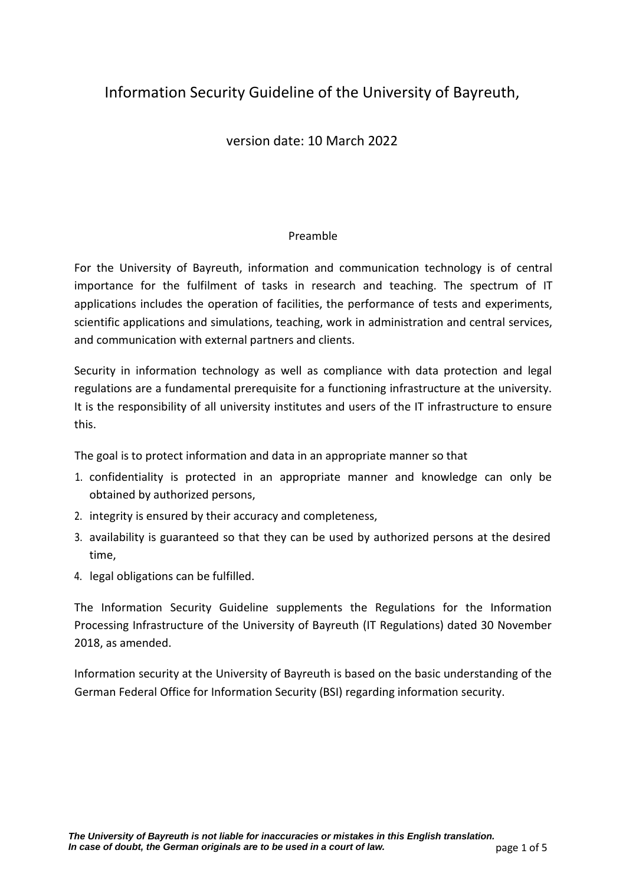# Information Security Guideline of the University of Bayreuth,

# version date: 10 March 2022

## Preamble

For the University of Bayreuth, information and communication technology is of central importance for the fulfilment of tasks in research and teaching. The spectrum of IT applications includes the operation of facilities, the performance of tests and experiments, scientific applications and simulations, teaching, work in administration and central services, and communication with external partners and clients.

Security in information technology as well as compliance with data protection and legal regulations are a fundamental prerequisite for a functioning infrastructure at the university. It is the responsibility of all university institutes and users of the IT infrastructure to ensure this.

The goal is to protect information and data in an appropriate manner so that

- 1. confidentiality is protected in an appropriate manner and knowledge can only be obtained by authorized persons,
- 2. integrity is ensured by their accuracy and completeness,
- 3. availability is guaranteed so that they can be used by authorized persons at the desired time,
- 4. legal obligations can be fulfilled.

The Information Security Guideline supplements the Regulations for the Information Processing Infrastructure of the University of Bayreuth (IT Regulations) dated 30 November 2018, as amended.

Information security at the University of Bayreuth is based on the basic understanding of the German Federal Office for Information Security (BSI) regarding information security.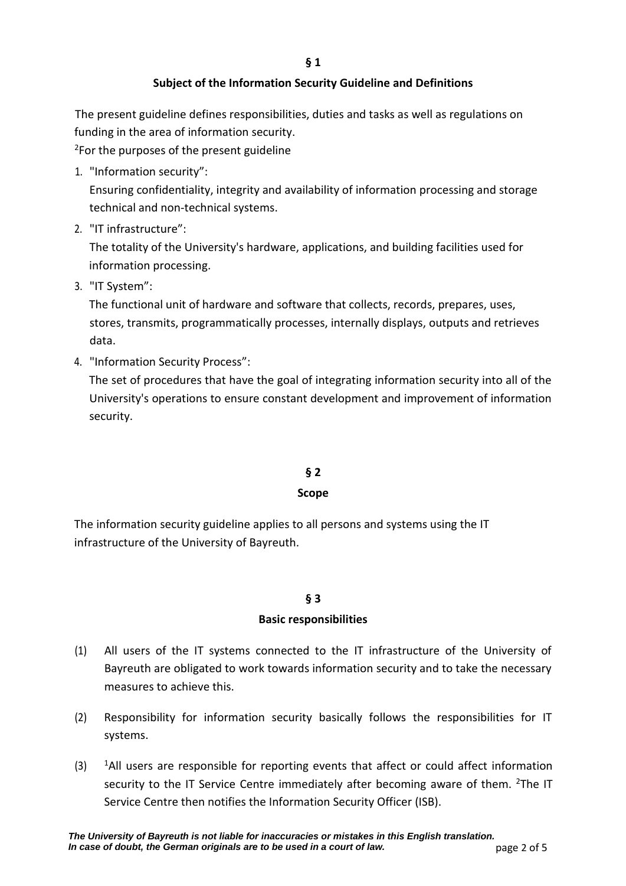# **Subject of the Information Security Guideline and Definitions**

The present guideline defines responsibilities, duties and tasks as well as regulations on funding in the area of information security.

<sup>2</sup>For the purposes of the present guideline

1. "Information security":

Ensuring confidentiality, integrity and availability of information processing and storage technical and non-technical systems.

2. "IT infrastructure":

The totality of the University's hardware, applications, and building facilities used for information processing.

3. "IT System":

The functional unit of hardware and software that collects, records, prepares, uses, stores, transmits, programmatically processes, internally displays, outputs and retrieves data.

4. "Information Security Process":

The set of procedures that have the goal of integrating information security into all of the University's operations to ensure constant development and improvement of information security.

# **§ 2**

## **Scope**

The information security guideline applies to all persons and systems using the IT infrastructure of the University of Bayreuth.

# **§ 3**

## **Basic responsibilities**

- (1) All users of the IT systems connected to the IT infrastructure of the University of Bayreuth are obligated to work towards information security and to take the necessary measures to achieve this.
- (2) Responsibility for information security basically follows the responsibilities for IT systems.
- $(3)$  <sup>1</sup>All users are responsible for reporting events that affect or could affect information security to the IT Service Centre immediately after becoming aware of them.  $2$ The IT Service Centre then notifies the Information Security Officer (ISB).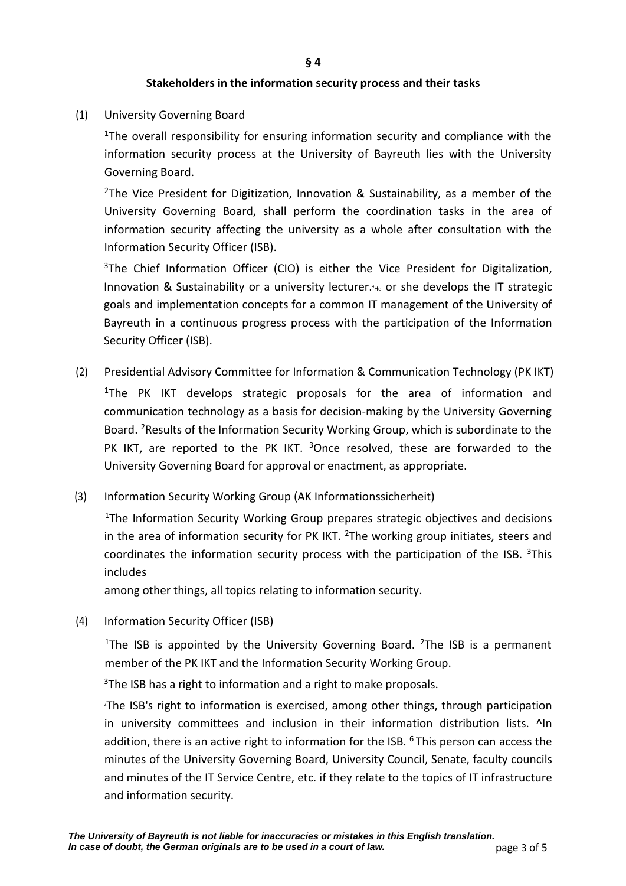## **Stakeholders in the information security process and their tasks**

(1) University Governing Board

1The overall responsibility for ensuring information security and compliance with the information security process at the University of Bayreuth lies with the University Governing Board.

<sup>2</sup>The Vice President for Digitization, Innovation & Sustainability, as a member of the University Governing Board, shall perform the coordination tasks in the area of information security affecting the university as a whole after consultation with the Information Security Officer (ISB).

<sup>3</sup>The Chief Information Officer (CIO) is either the Vice President for Digitalization, Innovation & Sustainability or a university lecturer.<sup>4</sup>He or she develops the IT strategic goals and implementation concepts for a common IT management of the University of Bayreuth in a continuous progress process with the participation of the Information Security Officer (ISB).

- (2) Presidential Advisory Committee for Information & Communication Technology (PK IKT) <sup>1</sup>The PK IKT develops strategic proposals for the area of information and communication technology as a basis for decision-making by the University Governing Board. 2Results of the Information Security Working Group, which is subordinate to the PK IKT, are reported to the PK IKT. <sup>3</sup>Once resolved, these are forwarded to the University Governing Board for approval or enactment, as appropriate.
- (3) Information Security Working Group (AK Informationssicherheit)

<sup>1</sup>The Information Security Working Group prepares strategic objectives and decisions in the area of information security for PK IKT.  $2$ The working group initiates, steers and coordinates the information security process with the participation of the ISB.  $3$ This includes

among other things, all topics relating to information security.

(4) Information Security Officer (ISB)

<sup>1</sup>The ISB is appointed by the University Governing Board. <sup>2</sup>The ISB is a permanent member of the PK IKT and the Information Security Working Group.

 $3$ The ISB has a right to information and a right to make proposals.

4 The ISB's right to information is exercised, among other things, through participation in university committees and inclusion in their information distribution lists. ^In addition, there is an active right to information for the ISB.  $6$  This person can access the minutes of the University Governing Board, University Council, Senate, faculty councils and minutes of the IT Service Centre, etc. if they relate to the topics of IT infrastructure and information security.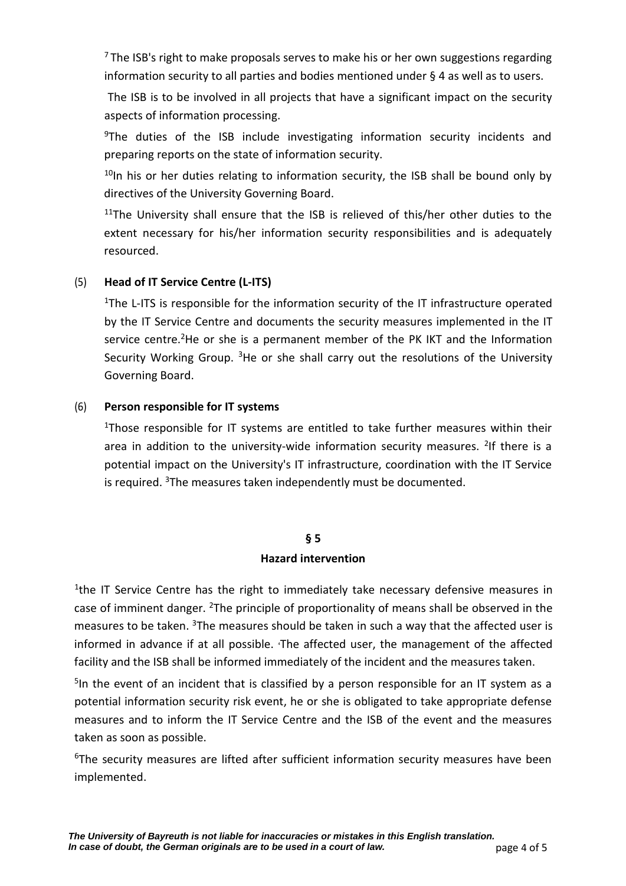$7$  The ISB's right to make proposals serves to make his or her own suggestions regarding information security to all parties and bodies mentioned under § 4 as well as to users.

The ISB is to be involved in all projects that have a significant impact on the security aspects of information processing.

 $9$ The duties of the ISB include investigating information security incidents and preparing reports on the state of information security.

 $10$ In his or her duties relating to information security, the ISB shall be bound only by directives of the University Governing Board.

<sup>11</sup>The University shall ensure that the ISB is relieved of this/her other duties to the extent necessary for his/her information security responsibilities and is adequately resourced.

# (5) **Head of IT Service Centre (L-ITS)**

<sup>1</sup>The L-ITS is responsible for the information security of the IT infrastructure operated by the IT Service Centre and documents the security measures implemented in the IT service centre.<sup>2</sup>He or she is a permanent member of the PK IKT and the Information Security Working Group.  $3$  He or she shall carry out the resolutions of the University Governing Board.

# (6) **Person responsible for IT systems**

1Those responsible for IT systems are entitled to take further measures within their area in addition to the university-wide information security measures. <sup>2</sup>If there is a potential impact on the University's IT infrastructure, coordination with the IT Service is required.  $3$ The measures taken independently must be documented.

# **§ 5 Hazard intervention**

<sup>1</sup>the IT Service Centre has the right to immediately take necessary defensive measures in case of imminent danger. <sup>2</sup>The principle of proportionality of means shall be observed in the measures to be taken. <sup>3</sup>The measures should be taken in such a way that the affected user is informed in advance if at all possible. 4 The affected user, the management of the affected facility and the ISB shall be informed immediately of the incident and the measures taken.

<sup>5</sup>In the event of an incident that is classified by a person responsible for an IT system as a potential information security risk event, he or she is obligated to take appropriate defense measures and to inform the IT Service Centre and the ISB of the event and the measures taken as soon as possible.

 $6$ The security measures are lifted after sufficient information security measures have been implemented.